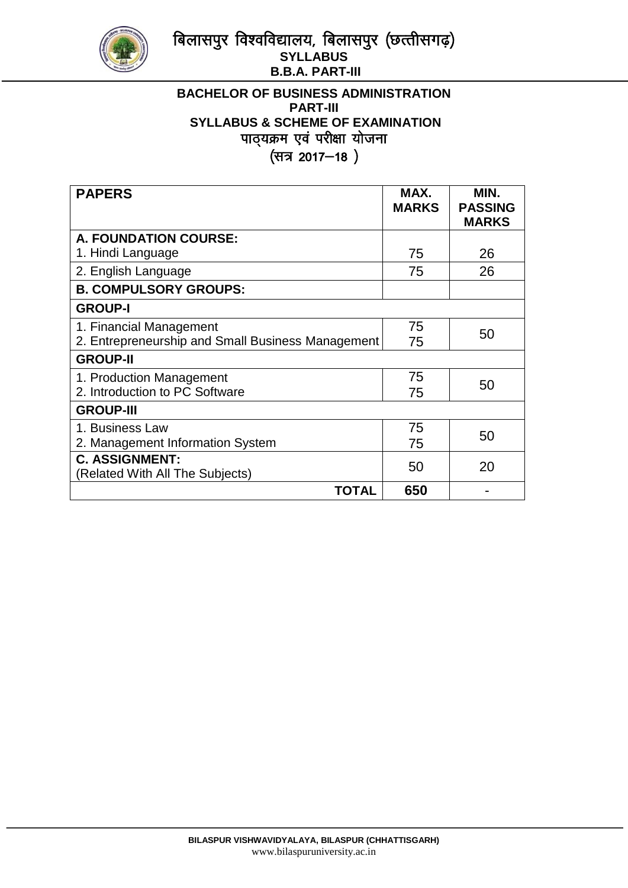

# बिलासपुर विश्वविद्यालय, बिलासपुर (छत्तीसगढ़) **SYLLABUS B.B.A. PART-III**

# **BACHELOR OF BUSINESS ADMINISTRATION PART-III SYLLABUS & SCHEME OF EXAMINATION** पाठ्यक्रम एवं परीक्षा योजना (सत्र 2017-18)

| <b>PAPERS</b>                                     | MAX.<br><b>MARKS</b> | MIN.<br><b>PASSING</b><br><b>MARKS</b> |
|---------------------------------------------------|----------------------|----------------------------------------|
| A. FOUNDATION COURSE:                             |                      |                                        |
| 1. Hindi Language                                 | 75                   | 26                                     |
| 2. English Language                               | 75                   | 26                                     |
| <b>B. COMPULSORY GROUPS:</b>                      |                      |                                        |
| <b>GROUP-I</b>                                    |                      |                                        |
| 1. Financial Management                           | 75                   | 50                                     |
| 2. Entrepreneurship and Small Business Management | 75                   |                                        |
| <b>GROUP-II</b>                                   |                      |                                        |
| 1. Production Management                          | 75                   | 50                                     |
| 2. Introduction to PC Software                    | 75                   |                                        |
| <b>GROUP-III</b>                                  |                      |                                        |
| 1. Business Law                                   | 75                   | 50                                     |
| 2. Management Information System                  | 75                   |                                        |
| <b>C. ASSIGNMENT:</b>                             | 50                   | 20                                     |
| (Related With All The Subjects)                   |                      |                                        |
| TOTAL                                             | 650                  |                                        |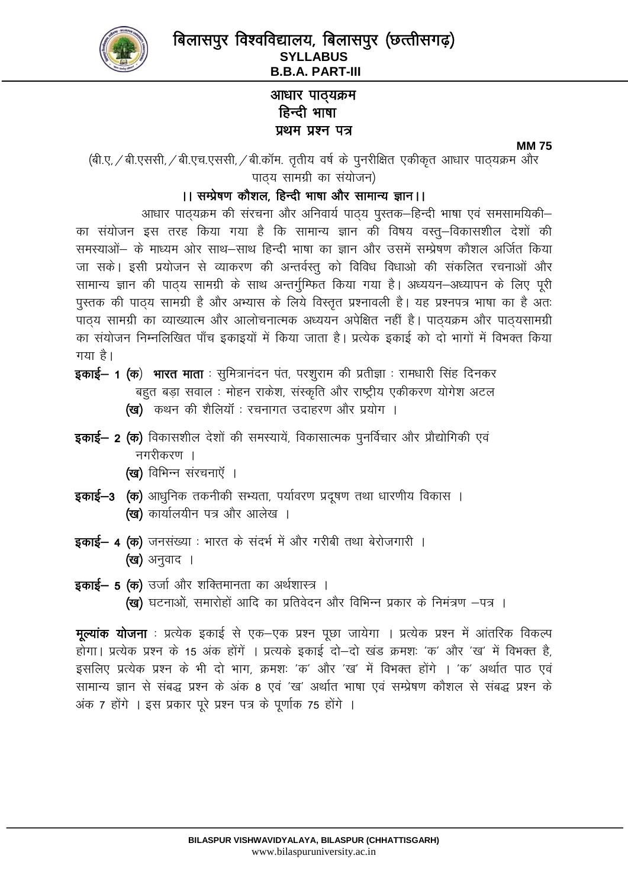

# आधार पाठ्यक्रम हिन्दी भाषा प्रथम प्रश्न पत्र

#### **MM75**

(बी.ए. / बी.एससी, / बी.एच.एससी, / बी.कॉम. तृतीय वर्ष के पुनरीक्षित एकीकृत आधार पाठ्यक्रम और

पाठ्य सामग्री का संयोजन)

# ।। सम्प्रेषण कौशल, हिन्दी भाषा और सामान्य ज्ञान।।

आधार पाठ्यक्रम की संरचना और अनिवार्य पाठ्य पुस्तक–हिन्दी भाषा एवं समसामयिकी–

का संयोजन इस तरह किया गया है कि सामान्य ज्ञान की विषय वस्तु–विकासशील देशों की समस्याओं– के माध्यम ओर साथ–साथ हिन्दी भाषा का ज्ञान और उसमें सम्प्रेषण कौशल अर्जित किया जा सके। इसी प्रयोजन से व्याकरण की अन्तर्वस्तु को विविध विधाओ की संकलित रचनाओं और सामान्य ज्ञान की पाठय सामग्री के साथ अन्तर्गुम्फित किया गया है। अध्ययन–अध्यापन के लिए पूरी पुस्तक की पाठ्य सामग्री है और अभ्यास के लिये विस्तृत प्रश्नावली है। यह प्रश्नपत्र भाषा का है अतः पाठय सामग्री का व्याख्यात्म और आलोचनात्मक अध्ययन अपेक्षित नहीं है। पाठयक्रम और पाठयसामग्री का संयोजन निम्नलिखित पाँच इकाइयों में किया जाता है। प्रत्येक इकाई को दो भागों में विभक्त किया गया है।

इकाई– 1 (क) भारत माता : सुमित्रानंदन पंत, परशुराम की प्रतीज्ञा : रामधारी सिंह दिनकर बहुत बड़ा सवाल : मोहन राकेश, संस्कृति और राष्ट्रीय एकीकरण योगेश अटल (ख) कथन की शैलियॉ : रचनागत उदाहरण और प्रयोग ।

- **इकाई– 2 (क)** विकासशील देशों की समस्यायें, विकासात्मक पुनर्विचार और प्रौद्योगिकी एवं नगरीकरण ।
	- (ख) विभिन्न संरचनाएँ ।
- इकाई-3 (क) आधुनिक तकनीकी सभ्यता, पर्यावरण प्रदूषण तथा धारणीय विकास । (ख) कार्यालयीन पत्र और आलेख ।
- इकाई– 4 (क) जनसंख्या : भारत के संदर्भ में और गरीबी तथा बेरोजगारी । (ख) अनुवाद ।
- **इकाई– 5 (क)** उर्जा और शक्तिमानता का अर्थशास्त्र । (ख) घटनाओं, समारोहों आदि का प्रतिवेदन और विभिन्न प्रकार के निमंत्रण -पत्र ।

**मूल्यांक योजना** : प्रत्येक इकाई से एक–एक प्रश्न पूछा जायेगा । प्रत्येक प्रश्न में आंतरिक विकल्प होगा। प्रत्येक प्रश्न के 15 अंक होंगें । प्रत्यके इकाई दो-दो खंड क्रमशः 'क' और 'ख' में विभक्त है, इसलिए प्रत्येक प्रश्न के भी दो भाग, क्रमशः 'क' और 'ख' में विभक्त होंगे । 'क' अर्थात पाठ एवं सामान्य ज्ञान से संबद्ध प्रश्न के अंक 8 एवं 'ख' अर्थात भाषा एवं सम्प्रेषण कौशल से संबद्ध प्रश्न के अंक 7 होंगे । इस प्रकार पुरे प्रश्न पत्र के पुर्णाक 75 होंगे ।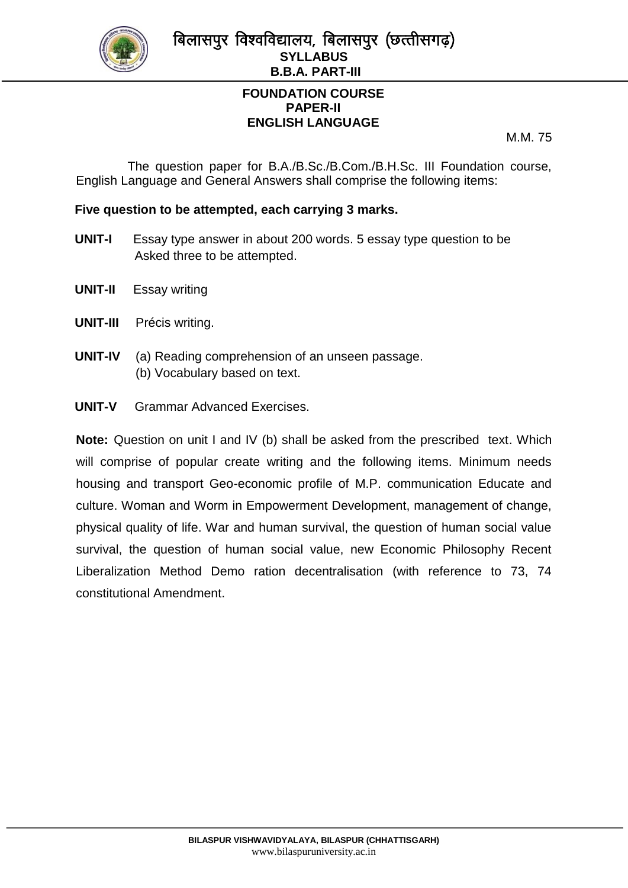

# **FOUNDATION COURSE PAPER-II ENGLISH LANGUAGE**

M.M. 75

 The question paper for B.A./B.Sc./B.Com./B.H.Sc. III Foundation course, English Language and General Answers shall comprise the following items:

## **Five question to be attempted, each carrying 3 marks.**

- **UNIT-I** Essay type answer in about 200 words. 5 essay type question to be Asked three to be attempted.
- **UNIT-II** Essay writing
- **UNIT-III** Précis writing.
- **UNIT-IV** (a) Reading comprehension of an unseen passage. (b) Vocabulary based on text.
- **UNIT-V** Grammar Advanced Exercises.

**Note:** Question on unit I and IV (b) shall be asked from the prescribed text. Which will comprise of popular create writing and the following items. Minimum needs housing and transport Geo-economic profile of M.P. communication Educate and culture. Woman and Worm in Empowerment Development, management of change, physical quality of life. War and human survival, the question of human social value survival, the question of human social value, new Economic Philosophy Recent Liberalization Method Demo ration decentralisation (with reference to 73, 74 constitutional Amendment.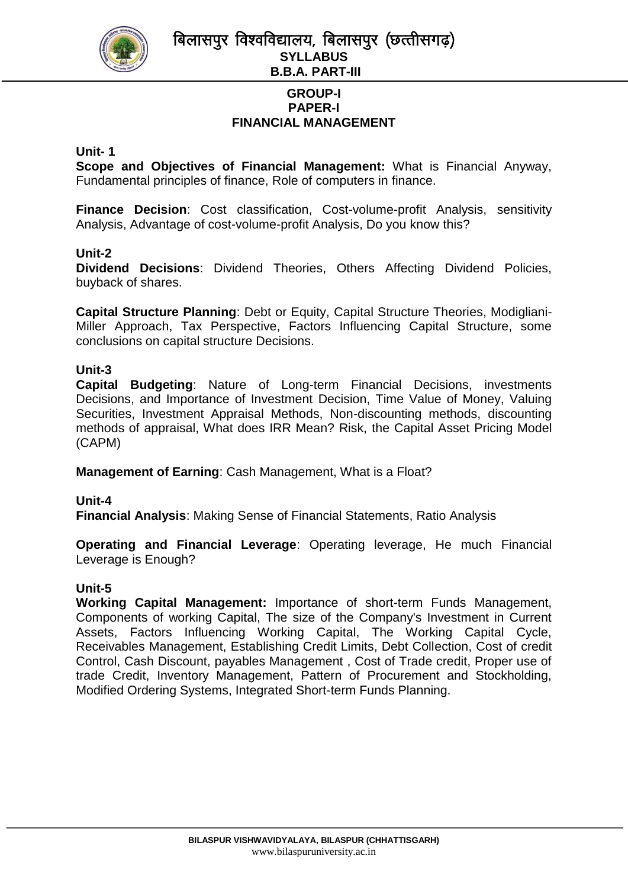

बिलासपुर विश्वविद्यालय, बिलासपुर (छत्तीसगढ) **SYLLABUS B.B.A. PART-III**

### **GROUP-I PAPER-I FINANCIAL MANAGEMENT**

### **Unit- 1**

**Scope and Objectives of Financial Management:** What is Financial Anyway, Fundamental principles of finance, Role of computers in finance.

**Finance Decision**: Cost classification, Cost-volume-profit Analysis, sensitivity Analysis, Advantage of cost-volume-profit Analysis, Do you know this?

### **Unit-2**

**Dividend Decisions**: Dividend Theories, Others Affecting Dividend Policies, buyback of shares.

**Capital Structure Planning**: Debt or Equity, Capital Structure Theories, Modigliani-Miller Approach, Tax Perspective, Factors Influencing Capital Structure, some conclusions on capital structure Decisions.

### **Unit-3**

**Capital Budgeting**: Nature of Long-term Financial Decisions, investments Decisions, and Importance of Investment Decision, Time Value of Money, Valuing Securities, Investment Appraisal Methods, Non-discounting methods, discounting methods of appraisal, What does IRR Mean? Risk, the Capital Asset Pricing Model (CAPM)

**Management of Earning**: Cash Management, What is a Float?

### **Unit-4**

**Financial Analysis**: Making Sense of Financial Statements, Ratio Analysis

**Operating and Financial Leverage**: Operating leverage, He much Financial Leverage is Enough?

### **Unit-5**

**Working Capital Management:** Importance of short-term Funds Management, Components of working Capital, The size of the Company's Investment in Current Assets, Factors Influencing Working Capital, The Working Capital Cycle, Receivables Management, Establishing Credit Limits, Debt Collection, Cost of credit Control, Cash Discount, payables Management , Cost of Trade credit, Proper use of trade Credit, Inventory Management, Pattern of Procurement and Stockholding, Modified Ordering Systems, Integrated Short-term Funds Planning.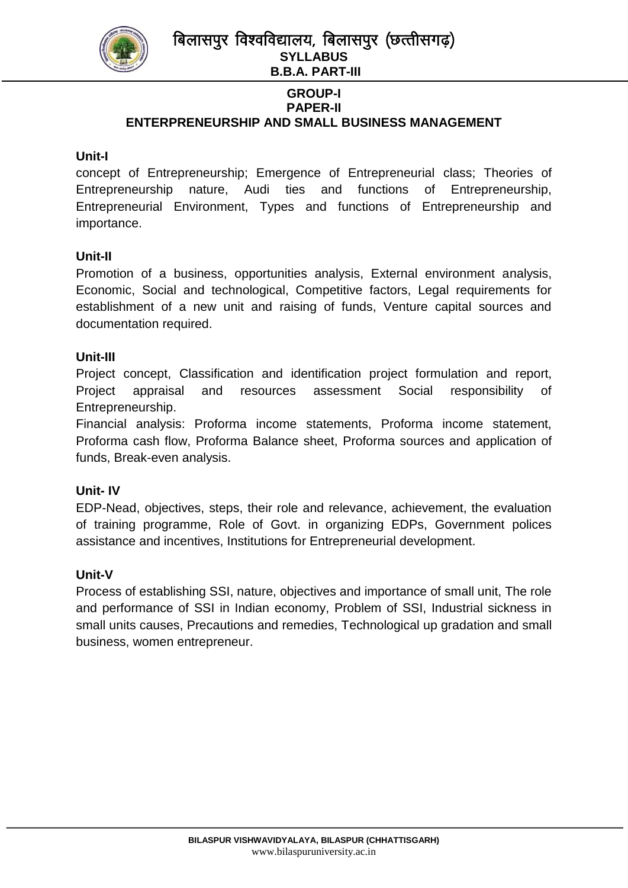

#### **GROUP-I PAPER-II ENTERPRENEURSHIP AND SMALL BUSINESS MANAGEMENT**

## **Unit-I**

concept of Entrepreneurship; Emergence of Entrepreneurial class; Theories of Entrepreneurship nature, Audi ties and functions of Entrepreneurship, Entrepreneurial Environment, Types and functions of Entrepreneurship and importance.

### **Unit-II**

Promotion of a business, opportunities analysis, External environment analysis, Economic, Social and technological, Competitive factors, Legal requirements for establishment of a new unit and raising of funds, Venture capital sources and documentation required.

### **Unit-III**

Project concept, Classification and identification project formulation and report, Project appraisal and resources assessment Social responsibility of Entrepreneurship.

Financial analysis: Proforma income statements, Proforma income statement, Proforma cash flow, Proforma Balance sheet, Proforma sources and application of funds, Break-even analysis.

### **Unit- IV**

EDP-Nead, objectives, steps, their role and relevance, achievement, the evaluation of training programme, Role of Govt. in organizing EDPs, Government polices assistance and incentives, Institutions for Entrepreneurial development.

### **Unit-V**

Process of establishing SSI, nature, objectives and importance of small unit, The role and performance of SSI in Indian economy, Problem of SSI, Industrial sickness in small units causes, Precautions and remedies, Technological up gradation and small business, women entrepreneur.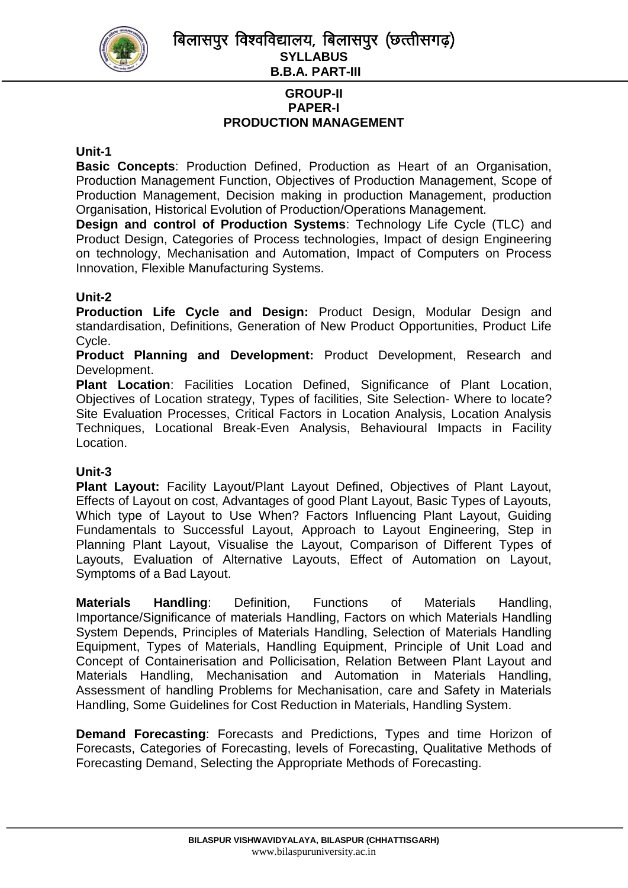

बिलासपुर विश्वविद्यालय, बिलासपुर (छत्तीसगढ) **SYLLABUS B.B.A. PART-III**

### **GROUP-II PAPER-I PRODUCTION MANAGEMENT**

### **Unit-1**

**Basic Concepts**: Production Defined, Production as Heart of an Organisation, Production Management Function, Objectives of Production Management, Scope of Production Management, Decision making in production Management, production Organisation, Historical Evolution of Production/Operations Management.

**Design and control of Production Systems**: Technology Life Cycle (TLC) and Product Design, Categories of Process technologies, Impact of design Engineering on technology, Mechanisation and Automation, Impact of Computers on Process Innovation, Flexible Manufacturing Systems.

### **Unit-2**

**Production Life Cycle and Design:** Product Design, Modular Design and standardisation, Definitions, Generation of New Product Opportunities, Product Life Cycle.

**Product Planning and Development:** Product Development, Research and Development.

**Plant Location**: Facilities Location Defined, Significance of Plant Location, Objectives of Location strategy, Types of facilities, Site Selection- Where to locate? Site Evaluation Processes, Critical Factors in Location Analysis, Location Analysis Techniques, Locational Break-Even Analysis, Behavioural Impacts in Facility Location.

## **Unit-3**

**Plant Layout:** Facility Layout/Plant Layout Defined, Objectives of Plant Layout, Effects of Layout on cost, Advantages of good Plant Layout, Basic Types of Layouts, Which type of Layout to Use When? Factors Influencing Plant Layout, Guiding Fundamentals to Successful Layout, Approach to Layout Engineering, Step in Planning Plant Layout, Visualise the Layout, Comparison of Different Types of Layouts, Evaluation of Alternative Layouts, Effect of Automation on Layout, Symptoms of a Bad Layout.

**Materials Handling**: Definition, Functions of Materials Handling, Importance/Significance of materials Handling, Factors on which Materials Handling System Depends, Principles of Materials Handling, Selection of Materials Handling Equipment, Types of Materials, Handling Equipment, Principle of Unit Load and Concept of Containerisation and Pollicisation, Relation Between Plant Layout and Materials Handling, Mechanisation and Automation in Materials Handling, Assessment of handling Problems for Mechanisation, care and Safety in Materials Handling, Some Guidelines for Cost Reduction in Materials, Handling System.

**Demand Forecasting**: Forecasts and Predictions, Types and time Horizon of Forecasts, Categories of Forecasting, levels of Forecasting, Qualitative Methods of Forecasting Demand, Selecting the Appropriate Methods of Forecasting.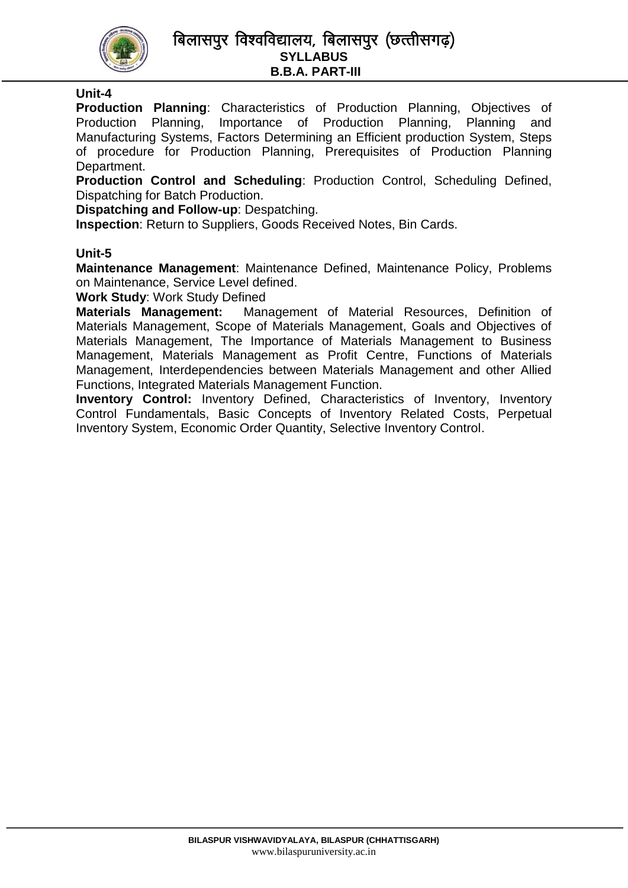

## बिलासपुर विश्वविद्यालय, बिलासपुर (छत्तीसगढ़) **SYLLABUS B.B.A. PART-III**

## **Unit-4**

**Production Planning**: Characteristics of Production Planning, Objectives of Production Planning, Importance of Production Planning, Planning and Manufacturing Systems, Factors Determining an Efficient production System, Steps of procedure for Production Planning, Prerequisites of Production Planning Department.

**Production Control and Scheduling**: Production Control, Scheduling Defined, Dispatching for Batch Production.

**Dispatching and Follow-up**: Despatching.

**Inspection**: Return to Suppliers, Goods Received Notes, Bin Cards.

#### **Unit-5**

**Maintenance Management**: Maintenance Defined, Maintenance Policy, Problems on Maintenance, Service Level defined.

**Work Study**: Work Study Defined

**Materials Management:** Management of Material Resources, Definition of Materials Management, Scope of Materials Management, Goals and Objectives of Materials Management, The Importance of Materials Management to Business Management, Materials Management as Profit Centre, Functions of Materials Management, Interdependencies between Materials Management and other Allied Functions, Integrated Materials Management Function.

**Inventory Control:** Inventory Defined, Characteristics of Inventory, Inventory Control Fundamentals, Basic Concepts of Inventory Related Costs, Perpetual Inventory System, Economic Order Quantity, Selective Inventory Control.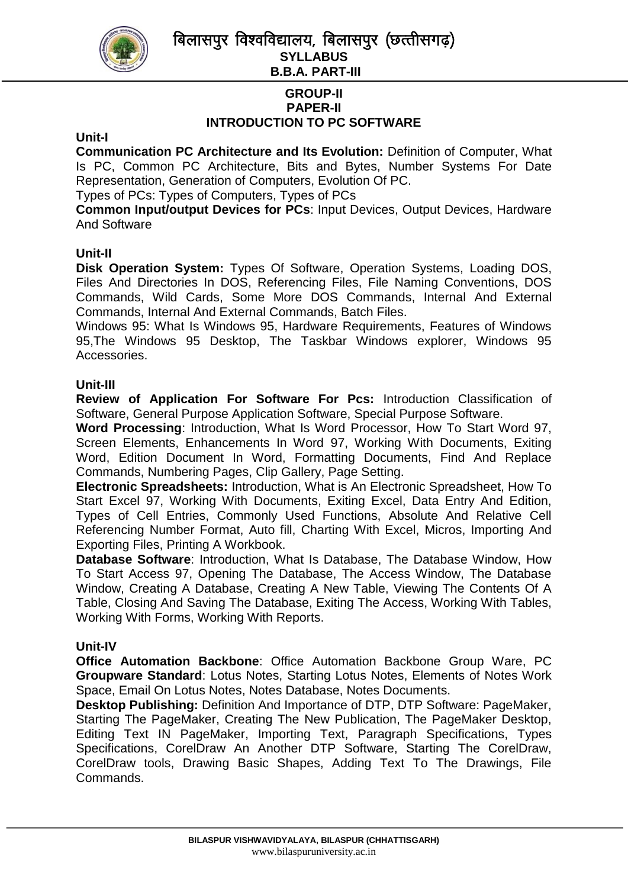बिलासपुर विश्वविद्यालय, बिलासपुर (छत्तीसगढ) **SYLLABUS** 



**B.B.A. PART-III**

### **GROUP-II PAPER-II INTRODUCTION TO PC SOFTWARE**

### **Unit-I**

**Communication PC Architecture and Its Evolution:** Definition of Computer, What Is PC, Common PC Architecture, Bits and Bytes, Number Systems For Date Representation, Generation of Computers, Evolution Of PC.

Types of PCs: Types of Computers, Types of PCs

**Common Input/output Devices for PCs**: Input Devices, Output Devices, Hardware And Software

### **Unit-II**

**Disk Operation System:** Types Of Software, Operation Systems, Loading DOS, Files And Directories In DOS, Referencing Files, File Naming Conventions, DOS Commands, Wild Cards, Some More DOS Commands, Internal And External Commands, Internal And External Commands, Batch Files.

Windows 95: What Is Windows 95, Hardware Requirements, Features of Windows 95,The Windows 95 Desktop, The Taskbar Windows explorer, Windows 95 Accessories.

### **Unit-III**

**Review of Application For Software For Pcs:** Introduction Classification of Software, General Purpose Application Software, Special Purpose Software.

**Word Processing**: Introduction, What Is Word Processor, How To Start Word 97, Screen Elements, Enhancements In Word 97, Working With Documents, Exiting Word, Edition Document In Word, Formatting Documents, Find And Replace Commands, Numbering Pages, Clip Gallery, Page Setting.

**Electronic Spreadsheets:** Introduction, What is An Electronic Spreadsheet, How To Start Excel 97, Working With Documents, Exiting Excel, Data Entry And Edition, Types of Cell Entries, Commonly Used Functions, Absolute And Relative Cell Referencing Number Format, Auto fill, Charting With Excel, Micros, Importing And Exporting Files, Printing A Workbook.

**Database Software**: Introduction, What Is Database, The Database Window, How To Start Access 97, Opening The Database, The Access Window, The Database Window, Creating A Database, Creating A New Table, Viewing The Contents Of A Table, Closing And Saving The Database, Exiting The Access, Working With Tables, Working With Forms, Working With Reports.

### **Unit-IV**

**Office Automation Backbone**: Office Automation Backbone Group Ware, PC **Groupware Standard**: Lotus Notes, Starting Lotus Notes, Elements of Notes Work Space, Email On Lotus Notes, Notes Database, Notes Documents.

**Desktop Publishing:** Definition And Importance of DTP, DTP Software: PageMaker, Starting The PageMaker, Creating The New Publication, The PageMaker Desktop, Editing Text IN PageMaker, Importing Text, Paragraph Specifications, Types Specifications, CorelDraw An Another DTP Software, Starting The CorelDraw, CorelDraw tools, Drawing Basic Shapes, Adding Text To The Drawings, File Commands.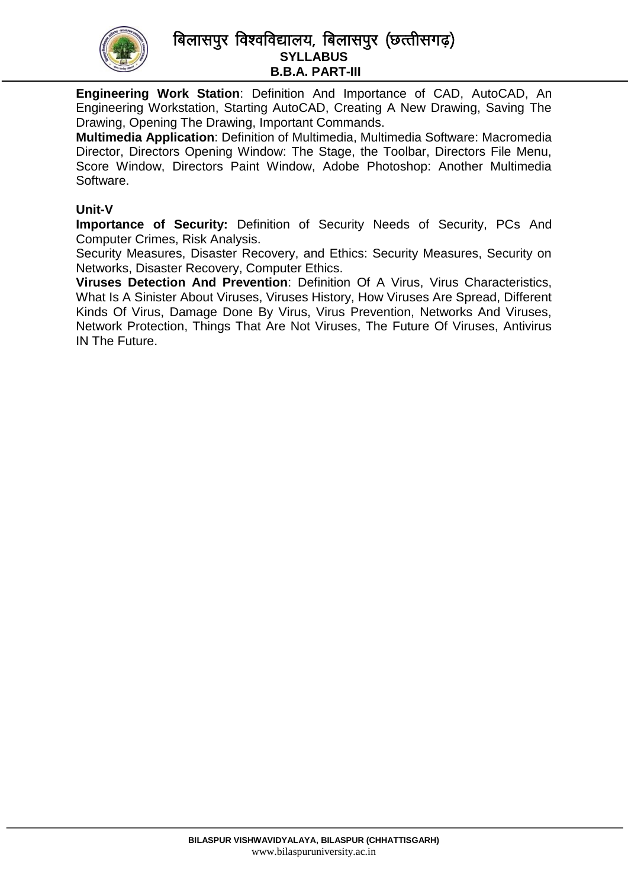

## बिलासपुर विश्वविद्यालय, बिलासपुर (छत्तीसगढ़) **SYLLABUS B.B.A. PART-III**

**Engineering Work Station**: Definition And Importance of CAD, AutoCAD, An Engineering Workstation, Starting AutoCAD, Creating A New Drawing, Saving The Drawing, Opening The Drawing, Important Commands.

**Multimedia Application**: Definition of Multimedia, Multimedia Software: Macromedia Director, Directors Opening Window: The Stage, the Toolbar, Directors File Menu, Score Window, Directors Paint Window, Adobe Photoshop: Another Multimedia Software.

### **Unit-V**

**Importance of Security:** Definition of Security Needs of Security, PCs And Computer Crimes, Risk Analysis.

Security Measures, Disaster Recovery, and Ethics: Security Measures, Security on Networks, Disaster Recovery, Computer Ethics.

**Viruses Detection And Prevention**: Definition Of A Virus, Virus Characteristics, What Is A Sinister About Viruses, Viruses History, How Viruses Are Spread, Different Kinds Of Virus, Damage Done By Virus, Virus Prevention, Networks And Viruses, Network Protection, Things That Are Not Viruses, The Future Of Viruses, Antivirus IN The Future.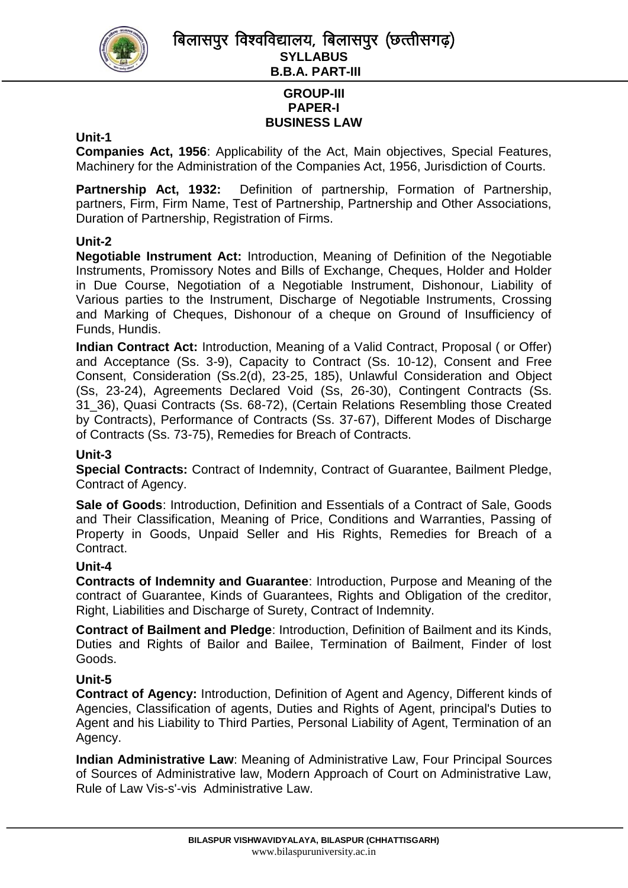

# **GROUP-III PAPER-I BUSINESS LAW**

#### **Unit-1**

**Companies Act, 1956**: Applicability of the Act, Main objectives, Special Features, Machinery for the Administration of the Companies Act, 1956, Jurisdiction of Courts.

**Partnership Act, 1932:** Definition of partnership, Formation of Partnership, partners, Firm, Firm Name, Test of Partnership, Partnership and Other Associations, Duration of Partnership, Registration of Firms.

### **Unit-2**

**Negotiable Instrument Act:** Introduction, Meaning of Definition of the Negotiable Instruments, Promissory Notes and Bills of Exchange, Cheques, Holder and Holder in Due Course, Negotiation of a Negotiable Instrument, Dishonour, Liability of Various parties to the Instrument, Discharge of Negotiable Instruments, Crossing and Marking of Cheques, Dishonour of a cheque on Ground of Insufficiency of Funds, Hundis.

**Indian Contract Act:** Introduction, Meaning of a Valid Contract, Proposal ( or Offer) and Acceptance (Ss. 3-9), Capacity to Contract (Ss. 10-12), Consent and Free Consent, Consideration (Ss.2(d), 23-25, 185), Unlawful Consideration and Object (Ss, 23-24), Agreements Declared Void (Ss, 26-30), Contingent Contracts (Ss. 31\_36), Quasi Contracts (Ss. 68-72), (Certain Relations Resembling those Created by Contracts), Performance of Contracts (Ss. 37-67), Different Modes of Discharge of Contracts (Ss. 73-75), Remedies for Breach of Contracts.

#### **Unit-3**

**Special Contracts:** Contract of Indemnity, Contract of Guarantee, Bailment Pledge, Contract of Agency.

**Sale of Goods**: Introduction, Definition and Essentials of a Contract of Sale, Goods and Their Classification, Meaning of Price, Conditions and Warranties, Passing of Property in Goods, Unpaid Seller and His Rights, Remedies for Breach of a Contract.

#### **Unit-4**

**Contracts of Indemnity and Guarantee**: Introduction, Purpose and Meaning of the contract of Guarantee, Kinds of Guarantees, Rights and Obligation of the creditor, Right, Liabilities and Discharge of Surety, Contract of Indemnity.

**Contract of Bailment and Pledge**: Introduction, Definition of Bailment and its Kinds, Duties and Rights of Bailor and Bailee, Termination of Bailment, Finder of lost Goods.

### **Unit-5**

**Contract of Agency:** Introduction, Definition of Agent and Agency, Different kinds of Agencies, Classification of agents, Duties and Rights of Agent, principal's Duties to Agent and his Liability to Third Parties, Personal Liability of Agent, Termination of an Agency.

**Indian Administrative Law**: Meaning of Administrative Law, Four Principal Sources of Sources of Administrative law, Modern Approach of Court on Administrative Law, Rule of Law Vis-s'-vis Administrative Law.